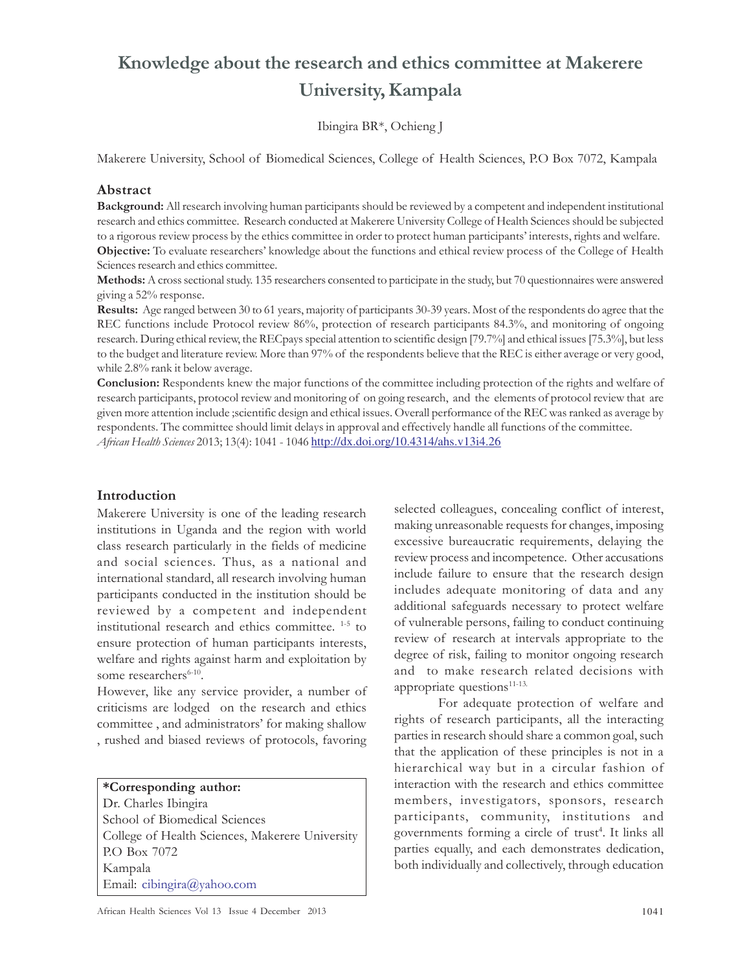# Knowledge about the research and ethics committee at Makerere University, Kampala

Ibingira BR\*, Ochieng J

Makerere University, School of Biomedical Sciences, College of Health Sciences, P.O Box 7072, Kampala

## Abstract

Background: All research involving human participants should be reviewed by a competent and independent institutional research and ethics committee. Research conducted at Makerere University College of Health Sciences should be subjected to a rigorous review process by the ethics committee in order to protect human participants' interests, rights and welfare. Objective: To evaluate researchers' knowledge about the functions and ethical review process of the College of Health Sciences research and ethics committee.

Methods: A cross sectional study. 135 researchers consented to participate in the study, but 70 questionnaires were answered giving a 52% response.

Results: Age ranged between 30 to 61 years, majority of participants 30-39 years. Most of the respondents do agree that the REC functions include Protocol review 86%, protection of research participants 84.3%, and monitoring of ongoing research. During ethical review, the RECpays special attention to scientific design [79.7%] and ethical issues [75.3%], but less to the budget and literature review. More than 97% of the respondents believe that the REC is either average or very good, while 2.8% rank it below average.

Conclusion: Respondents knew the major functions of the committee including protection of the rights and welfare of research participants, protocol review and monitoring of on going research, and the elements of protocol review that are given more attention include ;scientific design and ethical issues. Overall performance of the REC was ranked as average by respondents. The committee should limit delays in approval and effectively handle all functions of the committee. African Health Sciences 2013; 13(4): 1041 - 1046 http://dx.doi.org/10.4314/ahs.v13i4.26

## **Introduction**

Makerere University is one of the leading research institutions in Uganda and the region with world class research particularly in the fields of medicine and social sciences. Thus, as a national and international standard, all research involving human participants conducted in the institution should be reviewed by a competent and independent institutional research and ethics committee. 1-5 to ensure protection of human participants interests, welfare and rights against harm and exploitation by some researchers<sup>6-10</sup>.

However, like any service provider, a number of criticisms are lodged on the research and ethics committee , and administrators' for making shallow , rushed and biased reviews of protocols, favoring

## \*Corresponding author:

Dr. Charles Ibingira School of Biomedical Sciences College of Health Sciences, Makerere University P.O Box 7072 Kampala Email: cibingira@yahoo.com

selected colleagues, concealing conflict of interest, making unreasonable requests for changes, imposing excessive bureaucratic requirements, delaying the review process and incompetence. Other accusations include failure to ensure that the research design includes adequate monitoring of data and any additional safeguards necessary to protect welfare of vulnerable persons, failing to conduct continuing review of research at intervals appropriate to the degree of risk, failing to monitor ongoing research and to make research related decisions with appropriate questions<sup>11-13.</sup>

For adequate protection of welfare and rights of research participants, all the interacting parties in research should share a common goal, such that the application of these principles is not in a hierarchical way but in a circular fashion of interaction with the research and ethics committee members, investigators, sponsors, research participants, community, institutions and governments forming a circle of trust<sup>4</sup>. It links all parties equally, and each demonstrates dedication, both individually and collectively, through education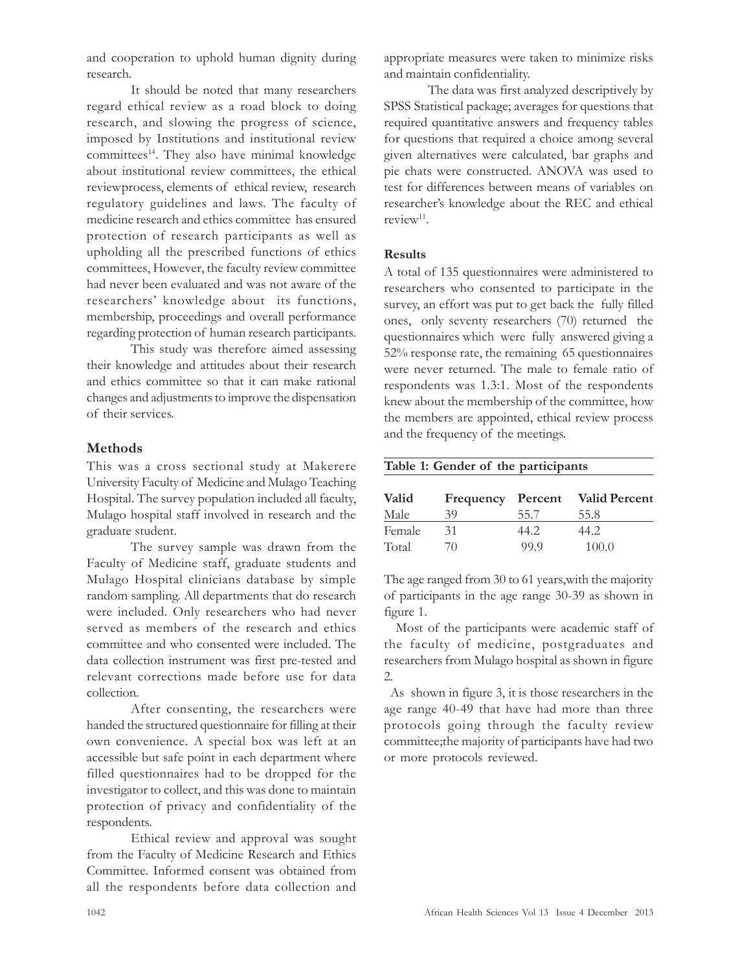and cooperation to uphold human dignity during research.

It should be noted that many researchers regard ethical review as a road block to doing research, and slowing the progress of science, imposed by Institutions and institutional review committees<sup>14</sup>. They also have minimal knowledge about institutional review committees, the ethical reviewprocess, elements of ethical review, research regulatory guidelines and laws. The faculty of medicine research and ethics committee has ensured protection of research participants as well as upholding all the prescribed functions of ethics committees, However, the faculty review committee had never been evaluated and was not aware of the researchers' knowledge about its functions, membership, proceedings and overall performance regarding protection of human research participants.

This study was therefore aimed assessing their knowledge and attitudes about their research and ethics committee so that it can make rational changes and adjustments to improve the dispensation of their services.

# Methods

This was a cross sectional study at Makerere University Faculty of Medicine and Mulago Teaching Hospital. The survey population included all faculty, Mulago hospital staff involved in research and the graduate student.

The survey sample was drawn from the Faculty of Medicine staff, graduate students and Mulago Hospital clinicians database by simple random sampling. All departments that do research were included. Only researchers who had never served as members of the research and ethics committee and who consented were included. The data collection instrument was first pre-tested and relevant corrections made before use for data collection.

After consenting, the researchers were handed the structured questionnaire for filling at their own convenience. A special box was left at an accessible but safe point in each department where filled questionnaires had to be dropped for the investigator to collect, and this was done to maintain protection of privacy and confidentiality of the respondents.

Ethical review and approval was sought from the Faculty of Medicine Research and Ethics Committee. Informed consent was obtained from all the respondents before data collection and appropriate measures were taken to minimize risks and maintain confidentiality.

The data was first analyzed descriptively by SPSS Statistical package; averages for questions that required quantitative answers and frequency tables for questions that required a choice among several given alternatives were calculated, bar graphs and pie chats were constructed. ANOVA was used to test for differences between means of variables on researcher's knowledge about the REC and ethical review<sup>11</sup>.

# Results

A total of 135 questionnaires were administered to researchers who consented to participate in the survey, an effort was put to get back the fully filled ones, only seventy researchers (70) returned the questionnaires which were fully answered giving a 52% response rate, the remaining 65 questionnaires were never returned. The male to female ratio of respondents was 1.3:1. Most of the respondents knew about the membership of the committee, how the members are appointed, ethical review process and the frequency of the meetings.

| Table 1: Gender of the participants |                   |      |                      |  |  |  |  |
|-------------------------------------|-------------------|------|----------------------|--|--|--|--|
| Valid                               | Frequency Percent |      | <b>Valid Percent</b> |  |  |  |  |
| Male                                | 39                | 55.7 | 55.8                 |  |  |  |  |
| Female                              | 31                | 44.2 | 44.2                 |  |  |  |  |
| Total                               | 70                | 99.9 | 100.0                |  |  |  |  |

The age ranged from 30 to 61 years,with the majority of participants in the age range 30-39 as shown in figure 1.

Most of the participants were academic staff of the faculty of medicine, postgraduates and researchers from Mulago hospital as shown in figure 2.

As shown in figure 3, it is those researchers in the age range 40-49 that have had more than three protocols going through the faculty review committee;the majority of participants have had two or more protocols reviewed.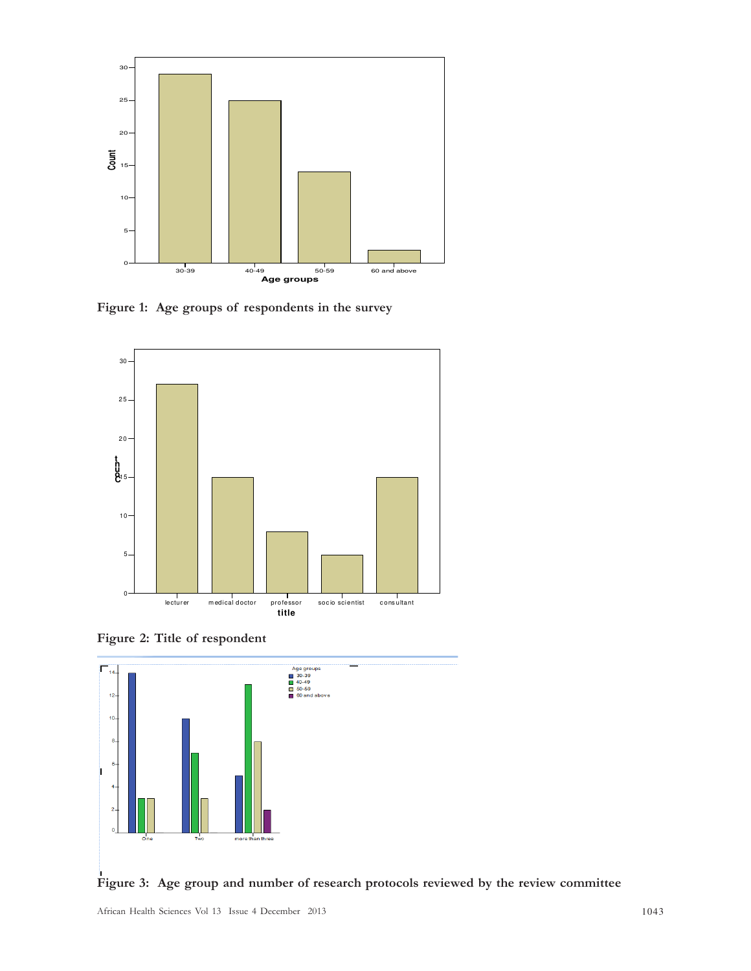

Figure 1: Age groups of respondents in the survey



Figure 2: Title of respondent



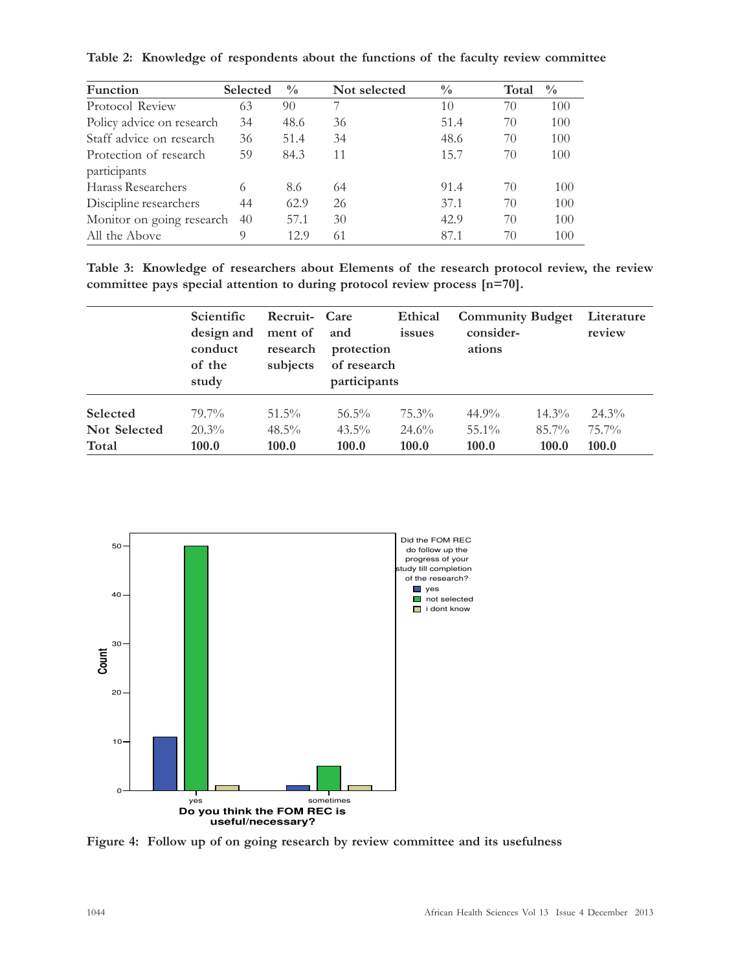Table 2: Knowledge of respondents about the functions of the faculty review committee

| <b>Function</b>           | Selected | $\frac{0}{0}$ | Not selected | $\frac{0}{0}$ | Total | $\frac{0}{0}$ |
|---------------------------|----------|---------------|--------------|---------------|-------|---------------|
| Protocol Review           | 63       | 90            |              | 10            | 70    | 100           |
| Policy advice on research | 34       | 48.6          | 36           | 51.4          | 70    | 100           |
| Staff advice on research  | 36       | 51.4          | 34           | 48.6          | 70    | 100           |
| Protection of research    | 59       | 84.3          | 11           | 15.7          | 70    | 100           |
| participants              |          |               |              |               |       |               |
| Harass Researchers        | 6        | 8.6           | 64           | 91.4          | 70    | 100           |
| Discipline researchers    | 44       | 62.9          | 26           | 37.1          | 70    | 100           |
| Monitor on going research | 40       | 57.1          | 30           | 42.9          | 70    | 100           |
| All the Above             | 9        | 12.9          | 61           | 87.1          | 70    | 100           |

Table 3: Knowledge of researchers about Elements of the research protocol review, the review committee pays special attention to during protocol review process [n=70].

|                 | Scientific<br>design and<br>conduct<br>of the<br>study | Recruit- Care<br>ment of<br>research<br>subjects | and<br>protection<br>of research<br>participants | Ethical<br>issues | <b>Community Budget</b><br>consider-<br>ations |          | Literature<br>review |
|-----------------|--------------------------------------------------------|--------------------------------------------------|--------------------------------------------------|-------------------|------------------------------------------------|----------|----------------------|
| <b>Selected</b> | 79.7%                                                  | $51.5\%$                                         | $56.5\%$                                         | $75.3\%$          | $44.9\%$                                       | $14.3\%$ | $24.3\%$             |
| Not Selected    | $20.3\%$                                               | $48.5\%$                                         | $43.5\%$                                         | $24.6\%$          | $55.1\%$                                       | $85.7\%$ | $75.7\%$             |
| Total           | 100.0                                                  | 100.0                                            | 100.0                                            | 100.0             | 100.0                                          | 100.0    | 100.0                |



Figure 4: Follow up of on going research by review committee and its usefulness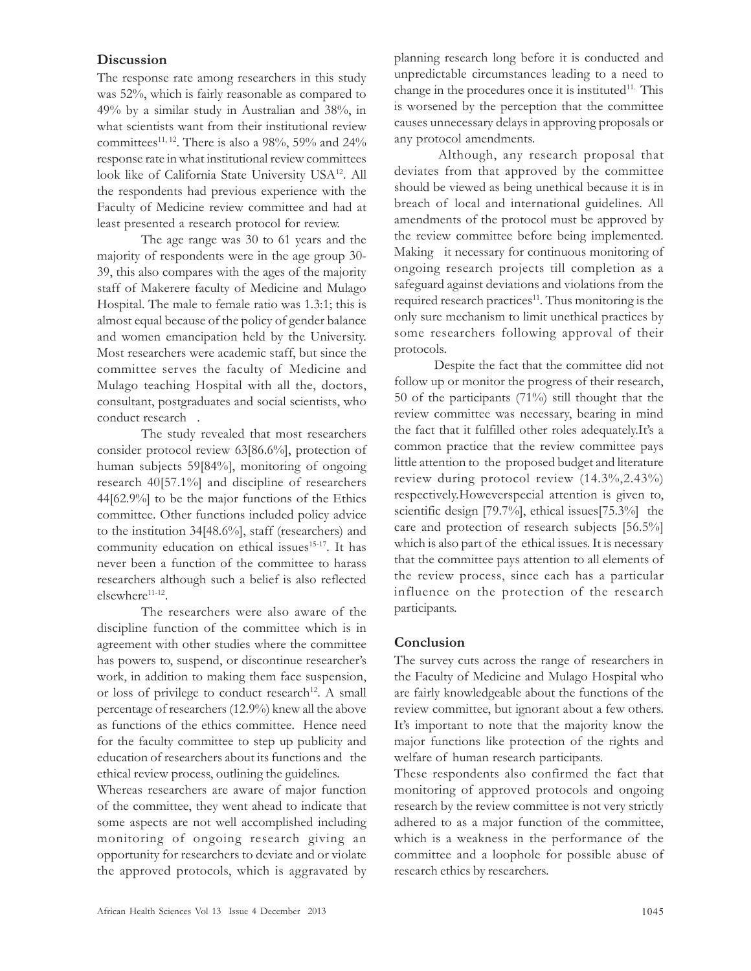## **Discussion**

The response rate among researchers in this study was 52%, which is fairly reasonable as compared to 49% by a similar study in Australian and 38%, in what scientists want from their institutional review committees<sup>11, 12</sup>. There is also a 98%, 59% and 24% response rate in what institutional review committees look like of California State University USA<sup>12</sup>. All the respondents had previous experience with the Faculty of Medicine review committee and had at least presented a research protocol for review.

The age range was 30 to 61 years and the majority of respondents were in the age group 30- 39, this also compares with the ages of the majority staff of Makerere faculty of Medicine and Mulago Hospital. The male to female ratio was 1.3:1; this is almost equal because of the policy of gender balance and women emancipation held by the University. Most researchers were academic staff, but since the committee serves the faculty of Medicine and Mulago teaching Hospital with all the, doctors, consultant, postgraduates and social scientists, who conduct research .

The study revealed that most researchers consider protocol review 63[86.6%], protection of human subjects 59[84%], monitoring of ongoing research 40[57.1%] and discipline of researchers 44[62.9%] to be the major functions of the Ethics committee. Other functions included policy advice to the institution 34[48.6%], staff (researchers) and community education on ethical issues<sup>15-17</sup>. It has never been a function of the committee to harass researchers although such a belief is also reflected  $elsewhere<sup>11-12</sup>$ .

The researchers were also aware of the discipline function of the committee which is in agreement with other studies where the committee has powers to, suspend, or discontinue researcher's work, in addition to making them face suspension, or loss of privilege to conduct research<sup>12</sup>. A small percentage of researchers (12.9%) knew all the above as functions of the ethics committee. Hence need for the faculty committee to step up publicity and education of researchers about its functions and the ethical review process, outlining the guidelines.

Whereas researchers are aware of major function of the committee, they went ahead to indicate that some aspects are not well accomplished including monitoring of ongoing research giving an opportunity for researchers to deviate and or violate the approved protocols, which is aggravated by planning research long before it is conducted and unpredictable circumstances leading to a need to change in the procedures once it is instituted<sup>11.</sup> This is worsened by the perception that the committee causes unnecessary delays in approving proposals or any protocol amendments.

Although, any research proposal that deviates from that approved by the committee should be viewed as being unethical because it is in breach of local and international guidelines. All amendments of the protocol must be approved by the review committee before being implemented. Making it necessary for continuous monitoring of ongoing research projects till completion as a safeguard against deviations and violations from the required research practices $11$ . Thus monitoring is the only sure mechanism to limit unethical practices by some researchers following approval of their protocols.

 Despite the fact that the committee did not follow up or monitor the progress of their research, 50 of the participants (71%) still thought that the review committee was necessary, bearing in mind the fact that it fulfilled other roles adequately.It's a common practice that the review committee pays little attention to the proposed budget and literature review during protocol review (14.3%,2.43%) respectively.Howeverspecial attention is given to, scientific design [79.7%], ethical issues[75.3%] the care and protection of research subjects [56.5%] which is also part of the ethical issues. It is necessary that the committee pays attention to all elements of the review process, since each has a particular influence on the protection of the research participants.

# Conclusion

The survey cuts across the range of researchers in the Faculty of Medicine and Mulago Hospital who are fairly knowledgeable about the functions of the review committee, but ignorant about a few others. It's important to note that the majority know the major functions like protection of the rights and welfare of human research participants.

These respondents also confirmed the fact that monitoring of approved protocols and ongoing research by the review committee is not very strictly adhered to as a major function of the committee, which is a weakness in the performance of the committee and a loophole for possible abuse of research ethics by researchers.